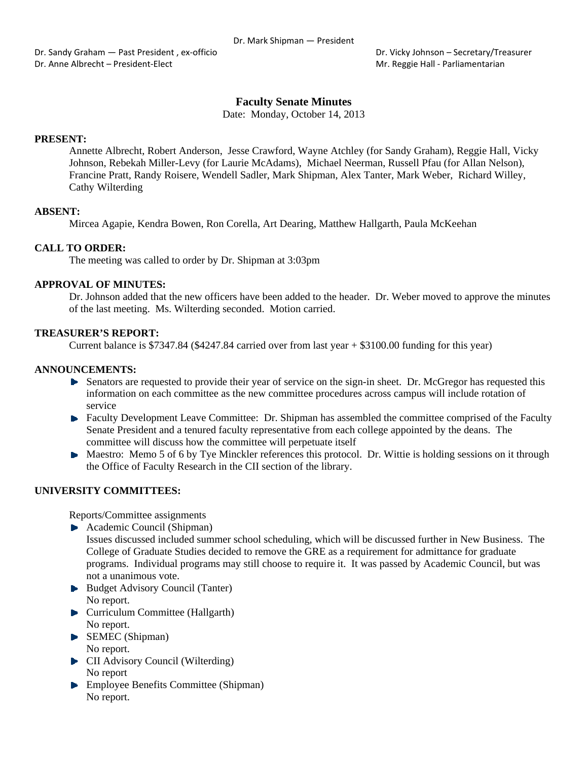Dr. Sandy Graham — Past President , ex-officio **Braham - Past President , ex**-officio **Braham - Secretary/Treasurer** Dr. Anne Albrecht – President‐Elect Mr. Reggie Hall ‐ Parliamentarian

# **Faculty Senate Minutes**

Date: Monday, October 14, 2013

#### **PRESENT:**

Annette Albrecht, Robert Anderson, Jesse Crawford, Wayne Atchley (for Sandy Graham), Reggie Hall, Vicky Johnson, Rebekah Miller-Levy (for Laurie McAdams), Michael Neerman, Russell Pfau (for Allan Nelson), Francine Pratt, Randy Roisere, Wendell Sadler, Mark Shipman, Alex Tanter, Mark Weber, Richard Willey, Cathy Wilterding

## **ABSENT:**

Mircea Agapie, Kendra Bowen, Ron Corella, Art Dearing, Matthew Hallgarth, Paula McKeehan

## **CALL TO ORDER:**

The meeting was called to order by Dr. Shipman at 3:03pm

### **APPROVAL OF MINUTES:**

Dr. Johnson added that the new officers have been added to the header. Dr. Weber moved to approve the minutes of the last meeting. Ms. Wilterding seconded. Motion carried.

### **TREASURER'S REPORT:**

Current balance is \$7347.84 (\$4247.84 carried over from last year + \$3100.00 funding for this year)

# **ANNOUNCEMENTS:**

- Senators are requested to provide their year of service on the sign-in sheet. Dr. McGregor has requested this information on each committee as the new committee procedures across campus will include rotation of service
- **Faculty Development Leave Committee: Dr. Shipman has assembled the committee comprised of the Faculty** Senate President and a tenured faculty representative from each college appointed by the deans. The committee will discuss how the committee will perpetuate itself
- Maestro: Memo 5 of 6 by Tye Minckler references this protocol. Dr. Wittie is holding sessions on it through the Office of Faculty Research in the CII section of the library.

## **UNIVERSITY COMMITTEES:**

Reports/Committee assignments

- Academic Council (Shipman)
- Issues discussed included summer school scheduling, which will be discussed further in New Business. The College of Graduate Studies decided to remove the GRE as a requirement for admittance for graduate programs. Individual programs may still choose to require it. It was passed by Academic Council, but was not a unanimous vote.
- Budget Advisory Council (Tanter) No report.
- **Curriculum Committee (Hallgarth)** No report.
- SEMEC (Shipman) No report.
- **CII** Advisory Council (Wilterding) No report
- **Employee Benefits Committee (Shipman)** No report.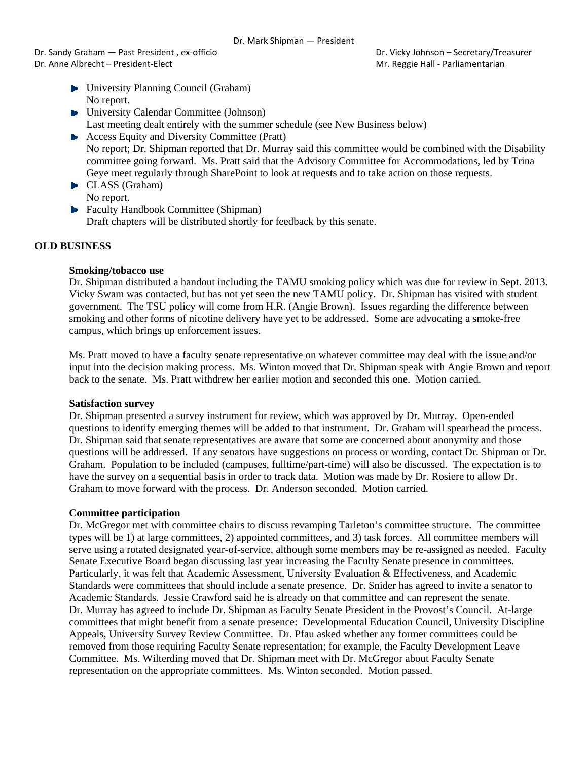Dr. Sandy Graham — Past President , ex‐officio Dr. Vicky Johnson – Secretary/Treasurer Dr. Anne Albrecht – President-Elect **Mr. Reggie Hall - Parliamentarian** Mr. Reggie Hall - Parliamentarian

- University Planning Council (Graham) No report.
- University Calendar Committee (Johnson) Last meeting dealt entirely with the summer schedule (see New Business below)
- ▶ Access Equity and Diversity Committee (Pratt) No report; Dr. Shipman reported that Dr. Murray said this committee would be combined with the Disability committee going forward. Ms. Pratt said that the Advisory Committee for Accommodations, led by Trina Geye meet regularly through SharePoint to look at requests and to take action on those requests.
- CLASS (Graham) No report.
- **Faculty Handbook Committee (Shipman)** Draft chapters will be distributed shortly for feedback by this senate.

# **OLD BUSINESS**

# **Smoking/tobacco use**

Dr. Shipman distributed a handout including the TAMU smoking policy which was due for review in Sept. 2013. Vicky Swam was contacted, but has not yet seen the new TAMU policy. Dr. Shipman has visited with student government. The TSU policy will come from H.R. (Angie Brown). Issues regarding the difference between smoking and other forms of nicotine delivery have yet to be addressed. Some are advocating a smoke-free campus, which brings up enforcement issues.

Ms. Pratt moved to have a faculty senate representative on whatever committee may deal with the issue and/or input into the decision making process. Ms. Winton moved that Dr. Shipman speak with Angie Brown and report back to the senate. Ms. Pratt withdrew her earlier motion and seconded this one. Motion carried.

## **Satisfaction survey**

Dr. Shipman presented a survey instrument for review, which was approved by Dr. Murray. Open-ended questions to identify emerging themes will be added to that instrument. Dr. Graham will spearhead the process. Dr. Shipman said that senate representatives are aware that some are concerned about anonymity and those questions will be addressed. If any senators have suggestions on process or wording, contact Dr. Shipman or Dr. Graham. Population to be included (campuses, fulltime/part-time) will also be discussed. The expectation is to have the survey on a sequential basis in order to track data. Motion was made by Dr. Rosiere to allow Dr. Graham to move forward with the process. Dr. Anderson seconded. Motion carried.

## **Committee participation**

Dr. McGregor met with committee chairs to discuss revamping Tarleton's committee structure. The committee types will be 1) at large committees, 2) appointed committees, and 3) task forces. All committee members will serve using a rotated designated year-of-service, although some members may be re-assigned as needed. Faculty Senate Executive Board began discussing last year increasing the Faculty Senate presence in committees. Particularly, it was felt that Academic Assessment, University Evaluation & Effectiveness, and Academic Standards were committees that should include a senate presence. Dr. Snider has agreed to invite a senator to Academic Standards. Jessie Crawford said he is already on that committee and can represent the senate. Dr. Murray has agreed to include Dr. Shipman as Faculty Senate President in the Provost's Council. At-large committees that might benefit from a senate presence: Developmental Education Council, University Discipline Appeals, University Survey Review Committee. Dr. Pfau asked whether any former committees could be removed from those requiring Faculty Senate representation; for example, the Faculty Development Leave Committee. Ms. Wilterding moved that Dr. Shipman meet with Dr. McGregor about Faculty Senate representation on the appropriate committees. Ms. Winton seconded. Motion passed.